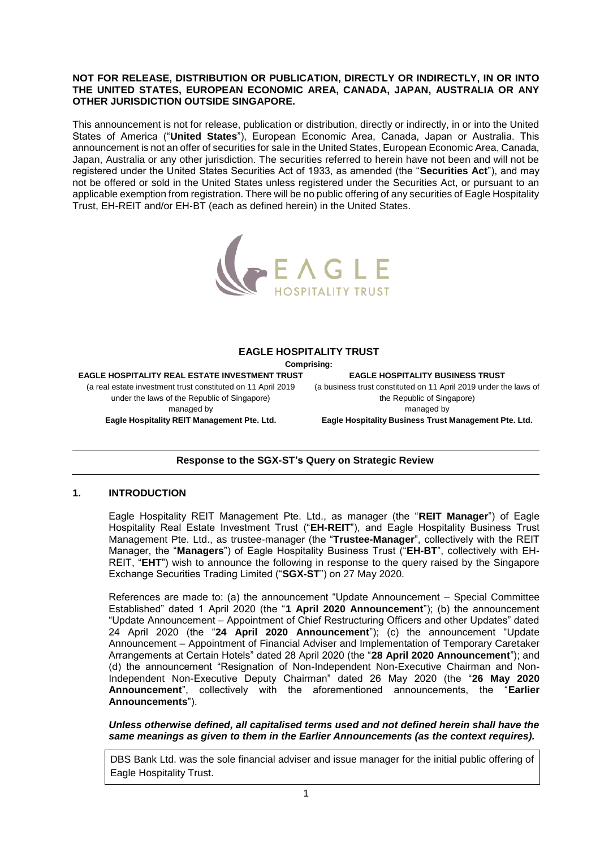### **NOT FOR RELEASE, DISTRIBUTION OR PUBLICATION, DIRECTLY OR INDIRECTLY, IN OR INTO THE UNITED STATES, EUROPEAN ECONOMIC AREA, CANADA, JAPAN, AUSTRALIA OR ANY OTHER JURISDICTION OUTSIDE SINGAPORE.**

This announcement is not for release, publication or distribution, directly or indirectly, in or into the United States of America ("**United States**"), European Economic Area, Canada, Japan or Australia. This announcement is not an offer of securities for sale in the United States, European Economic Area, Canada, Japan, Australia or any other jurisdiction. The securities referred to herein have not been and will not be registered under the United States Securities Act of 1933, as amended (the "**Securities Act**"), and may not be offered or sold in the United States unless registered under the Securities Act, or pursuant to an applicable exemption from registration. There will be no public offering of any securities of Eagle Hospitality Trust, EH-REIT and/or EH-BT (each as defined herein) in the United States.



### **EAGLE HOSPITALITY TRUST**

**Comprising:**

**EAGLE HOSPITALITY REAL ESTATE INVESTMENT TRUST** (a real estate investment trust constituted on 11 April 2019 under the laws of the Republic of Singapore) managed by **Eagle Hospitality REIT Management Pte. Ltd.**

**EAGLE HOSPITALITY BUSINESS TRUST** (a business trust constituted on 11 April 2019 under the laws of the Republic of Singapore) managed by **Eagle Hospitality Business Trust Management Pte. Ltd.**

# **Response to the SGX-ST's Query on Strategic Review**

## **1. INTRODUCTION**

Eagle Hospitality REIT Management Pte. Ltd., as manager (the "**REIT Manager**") of Eagle Hospitality Real Estate Investment Trust ("**EH-REIT**"), and Eagle Hospitality Business Trust Management Pte. Ltd., as trustee-manager (the "**Trustee-Manager**", collectively with the REIT Manager, the "**Managers**") of Eagle Hospitality Business Trust ("**EH-BT**", collectively with EH-REIT, "**EHT**") wish to announce the following in response to the query raised by the Singapore Exchange Securities Trading Limited ("**SGX-ST**") on 27 May 2020.

References are made to: (a) the announcement "Update Announcement – Special Committee Established" dated 1 April 2020 (the "**1 April 2020 Announcement**"); (b) the announcement "Update Announcement – Appointment of Chief Restructuring Officers and other Updates" dated 24 April 2020 (the "**24 April 2020 Announcement**"); (c) the announcement "Update Announcement – Appointment of Financial Adviser and Implementation of Temporary Caretaker Arrangements at Certain Hotels" dated 28 April 2020 (the "**28 April 2020 Announcement**"); and (d) the announcement "Resignation of Non-Independent Non-Executive Chairman and Non-Independent Non-Executive Deputy Chairman" dated 26 May 2020 (the "**26 May 2020 Announcement**", collectively with the aforementioned announcements, the "**Earlier Announcements**").

*Unless otherwise defined, all capitalised terms used and not defined herein shall have the same meanings as given to them in the Earlier Announcements (as the context requires).* 

DBS Bank Ltd. was the sole financial adviser and issue manager for the initial public offering of Eagle Hospitality Trust.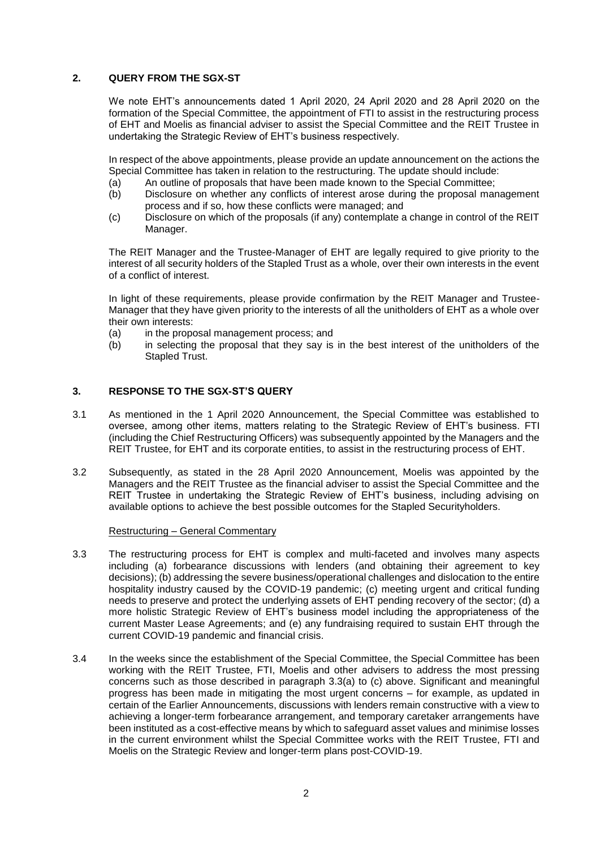## **2. QUERY FROM THE SGX-ST**

We note EHT's announcements dated 1 April 2020, 24 April 2020 and 28 April 2020 on the formation of the Special Committee, the appointment of FTI to assist in the restructuring process of EHT and Moelis as financial adviser to assist the Special Committee and the REIT Trustee in undertaking the Strategic Review of EHT's business respectively.

In respect of the above appointments, please provide an update announcement on the actions the Special Committee has taken in relation to the restructuring. The update should include:

- (a) An outline of proposals that have been made known to the Special Committee;
- (b) Disclosure on whether any conflicts of interest arose during the proposal management process and if so, how these conflicts were managed; and
- (c) Disclosure on which of the proposals (if any) contemplate a change in control of the REIT Manager.

The REIT Manager and the Trustee-Manager of EHT are legally required to give priority to the interest of all security holders of the Stapled Trust as a whole, over their own interests in the event of a conflict of interest.

In light of these requirements, please provide confirmation by the REIT Manager and Trustee-Manager that they have given priority to the interests of all the unitholders of EHT as a whole over their own interests:

- (a) in the proposal management process; and
- (b) in selecting the proposal that they say is in the best interest of the unitholders of the Stapled Trust.

# **3. RESPONSE TO THE SGX-ST'S QUERY**

- 3.1 As mentioned in the 1 April 2020 Announcement, the Special Committee was established to oversee, among other items, matters relating to the Strategic Review of EHT's business. FTI (including the Chief Restructuring Officers) was subsequently appointed by the Managers and the REIT Trustee, for EHT and its corporate entities, to assist in the restructuring process of EHT.
- 3.2 Subsequently, as stated in the 28 April 2020 Announcement, Moelis was appointed by the Managers and the REIT Trustee as the financial adviser to assist the Special Committee and the REIT Trustee in undertaking the Strategic Review of EHT's business, including advising on available options to achieve the best possible outcomes for the Stapled Securityholders.

### Restructuring – General Commentary

- 3.3 The restructuring process for EHT is complex and multi-faceted and involves many aspects including (a) forbearance discussions with lenders (and obtaining their agreement to key decisions); (b) addressing the severe business/operational challenges and dislocation to the entire hospitality industry caused by the COVID-19 pandemic; (c) meeting urgent and critical funding needs to preserve and protect the underlying assets of EHT pending recovery of the sector; (d) a more holistic Strategic Review of EHT's business model including the appropriateness of the current Master Lease Agreements; and (e) any fundraising required to sustain EHT through the current COVID-19 pandemic and financial crisis.
- 3.4 In the weeks since the establishment of the Special Committee, the Special Committee has been working with the REIT Trustee, FTI, Moelis and other advisers to address the most pressing concerns such as those described in paragraph 3.3(a) to (c) above. Significant and meaningful progress has been made in mitigating the most urgent concerns – for example, as updated in certain of the Earlier Announcements, discussions with lenders remain constructive with a view to achieving a longer-term forbearance arrangement, and temporary caretaker arrangements have been instituted as a cost-effective means by which to safeguard asset values and minimise losses in the current environment whilst the Special Committee works with the REIT Trustee, FTI and Moelis on the Strategic Review and longer-term plans post-COVID-19.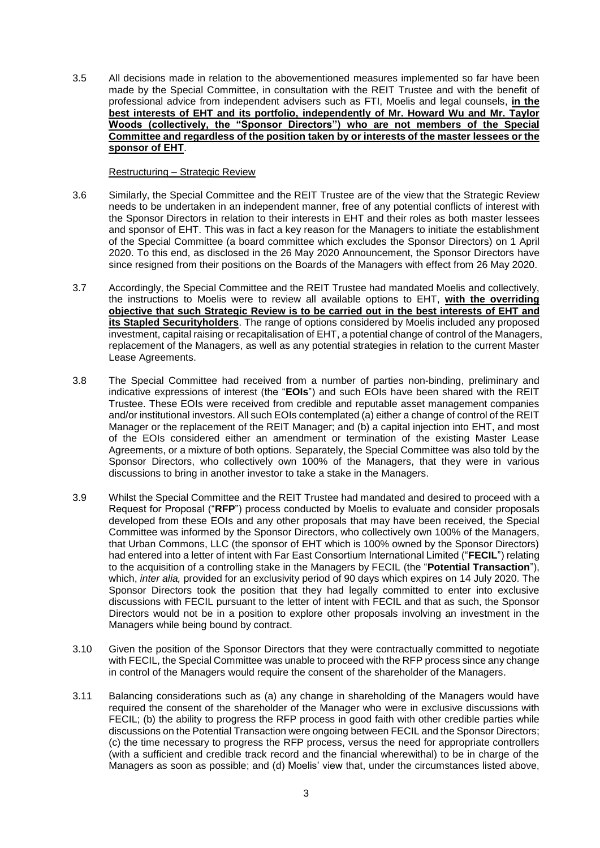3.5 All decisions made in relation to the abovementioned measures implemented so far have been made by the Special Committee, in consultation with the REIT Trustee and with the benefit of professional advice from independent advisers such as FTI, Moelis and legal counsels, **in the best interests of EHT and its portfolio, independently of Mr. Howard Wu and Mr. Taylor Woods (collectively, the "Sponsor Directors") who are not members of the Special Committee and regardless of the position taken by or interests of the master lessees or the sponsor of EHT**.

## Restructuring – Strategic Review

- 3.6 Similarly, the Special Committee and the REIT Trustee are of the view that the Strategic Review needs to be undertaken in an independent manner, free of any potential conflicts of interest with the Sponsor Directors in relation to their interests in EHT and their roles as both master lessees and sponsor of EHT. This was in fact a key reason for the Managers to initiate the establishment of the Special Committee (a board committee which excludes the Sponsor Directors) on 1 April 2020. To this end, as disclosed in the 26 May 2020 Announcement, the Sponsor Directors have since resigned from their positions on the Boards of the Managers with effect from 26 May 2020.
- 3.7 Accordingly, the Special Committee and the REIT Trustee had mandated Moelis and collectively, the instructions to Moelis were to review all available options to EHT, **with the overriding objective that such Strategic Review is to be carried out in the best interests of EHT and its Stapled Securityholders**. The range of options considered by Moelis included any proposed investment, capital raising or recapitalisation of EHT, a potential change of control of the Managers, replacement of the Managers, as well as any potential strategies in relation to the current Master Lease Agreements.
- 3.8 The Special Committee had received from a number of parties non-binding, preliminary and indicative expressions of interest (the "**EOIs**") and such EOIs have been shared with the REIT Trustee. These EOIs were received from credible and reputable asset management companies and/or institutional investors. All such EOIs contemplated (a) either a change of control of the REIT Manager or the replacement of the REIT Manager; and (b) a capital injection into EHT, and most of the EOIs considered either an amendment or termination of the existing Master Lease Agreements, or a mixture of both options. Separately, the Special Committee was also told by the Sponsor Directors, who collectively own 100% of the Managers, that they were in various discussions to bring in another investor to take a stake in the Managers.
- 3.9 Whilst the Special Committee and the REIT Trustee had mandated and desired to proceed with a Request for Proposal ("**RFP**") process conducted by Moelis to evaluate and consider proposals developed from these EOIs and any other proposals that may have been received, the Special Committee was informed by the Sponsor Directors, who collectively own 100% of the Managers, that Urban Commons, LLC (the sponsor of EHT which is 100% owned by the Sponsor Directors) had entered into a letter of intent with Far East Consortium International Limited ("**FECIL**") relating to the acquisition of a controlling stake in the Managers by FECIL (the "**Potential Transaction**"), which, *inter alia,* provided for an exclusivity period of 90 days which expires on 14 July 2020. The Sponsor Directors took the position that they had legally committed to enter into exclusive discussions with FECIL pursuant to the letter of intent with FECIL and that as such, the Sponsor Directors would not be in a position to explore other proposals involving an investment in the Managers while being bound by contract.
- 3.10 Given the position of the Sponsor Directors that they were contractually committed to negotiate with FECIL, the Special Committee was unable to proceed with the RFP process since any change in control of the Managers would require the consent of the shareholder of the Managers.
- 3.11 Balancing considerations such as (a) any change in shareholding of the Managers would have required the consent of the shareholder of the Manager who were in exclusive discussions with FECIL; (b) the ability to progress the RFP process in good faith with other credible parties while discussions on the Potential Transaction were ongoing between FECIL and the Sponsor Directors; (c) the time necessary to progress the RFP process, versus the need for appropriate controllers (with a sufficient and credible track record and the financial wherewithal) to be in charge of the Managers as soon as possible; and (d) Moelis' view that, under the circumstances listed above,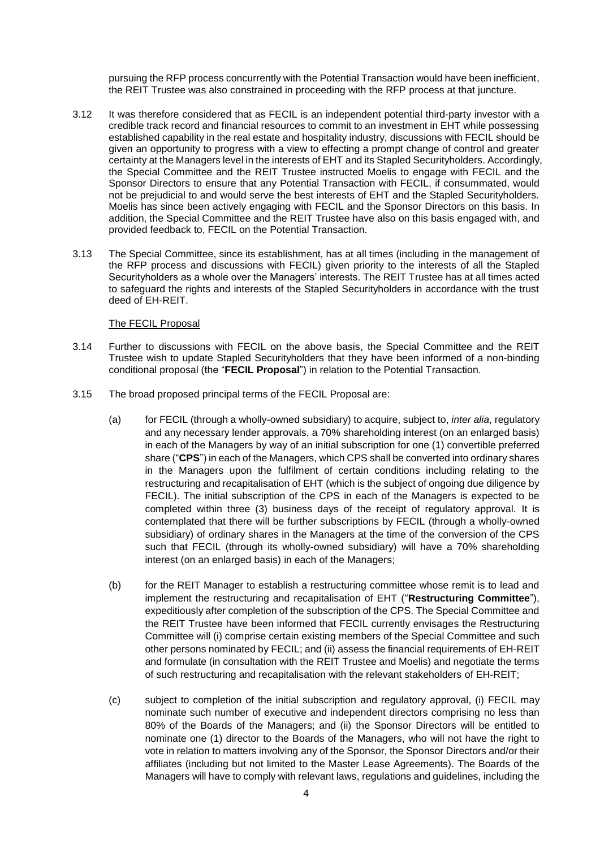pursuing the RFP process concurrently with the Potential Transaction would have been inefficient, the REIT Trustee was also constrained in proceeding with the RFP process at that juncture.

- 3.12 It was therefore considered that as FECIL is an independent potential third-party investor with a credible track record and financial resources to commit to an investment in EHT while possessing established capability in the real estate and hospitality industry, discussions with FECIL should be given an opportunity to progress with a view to effecting a prompt change of control and greater certainty at the Managers level in the interests of EHT and its Stapled Securityholders. Accordingly, the Special Committee and the REIT Trustee instructed Moelis to engage with FECIL and the Sponsor Directors to ensure that any Potential Transaction with FECIL, if consummated, would not be prejudicial to and would serve the best interests of EHT and the Stapled Securityholders. Moelis has since been actively engaging with FECIL and the Sponsor Directors on this basis. In addition, the Special Committee and the REIT Trustee have also on this basis engaged with, and provided feedback to, FECIL on the Potential Transaction.
- 3.13 The Special Committee, since its establishment, has at all times (including in the management of the RFP process and discussions with FECIL) given priority to the interests of all the Stapled Securityholders as a whole over the Managers' interests. The REIT Trustee has at all times acted to safeguard the rights and interests of the Stapled Securityholders in accordance with the trust deed of EH-REIT.

### The FECIL Proposal

- 3.14 Further to discussions with FECIL on the above basis, the Special Committee and the REIT Trustee wish to update Stapled Securityholders that they have been informed of a non-binding conditional proposal (the "**FECIL Proposal**") in relation to the Potential Transaction.
- 3.15 The broad proposed principal terms of the FECIL Proposal are:
	- (a) for FECIL (through a wholly-owned subsidiary) to acquire, subject to, *inter alia*, regulatory and any necessary lender approvals, a 70% shareholding interest (on an enlarged basis) in each of the Managers by way of an initial subscription for one (1) convertible preferred share ("**CPS**") in each of the Managers, which CPS shall be converted into ordinary shares in the Managers upon the fulfilment of certain conditions including relating to the restructuring and recapitalisation of EHT (which is the subject of ongoing due diligence by FECIL). The initial subscription of the CPS in each of the Managers is expected to be completed within three (3) business days of the receipt of regulatory approval. It is contemplated that there will be further subscriptions by FECIL (through a wholly-owned subsidiary) of ordinary shares in the Managers at the time of the conversion of the CPS such that FECIL (through its wholly-owned subsidiary) will have a 70% shareholding interest (on an enlarged basis) in each of the Managers;
	- (b) for the REIT Manager to establish a restructuring committee whose remit is to lead and implement the restructuring and recapitalisation of EHT ("**Restructuring Committee**"), expeditiously after completion of the subscription of the CPS. The Special Committee and the REIT Trustee have been informed that FECIL currently envisages the Restructuring Committee will (i) comprise certain existing members of the Special Committee and such other persons nominated by FECIL; and (ii) assess the financial requirements of EH-REIT and formulate (in consultation with the REIT Trustee and Moelis) and negotiate the terms of such restructuring and recapitalisation with the relevant stakeholders of EH-REIT;
	- (c) subject to completion of the initial subscription and regulatory approval, (i) FECIL may nominate such number of executive and independent directors comprising no less than 80% of the Boards of the Managers; and (ii) the Sponsor Directors will be entitled to nominate one (1) director to the Boards of the Managers, who will not have the right to vote in relation to matters involving any of the Sponsor, the Sponsor Directors and/or their affiliates (including but not limited to the Master Lease Agreements). The Boards of the Managers will have to comply with relevant laws, regulations and guidelines, including the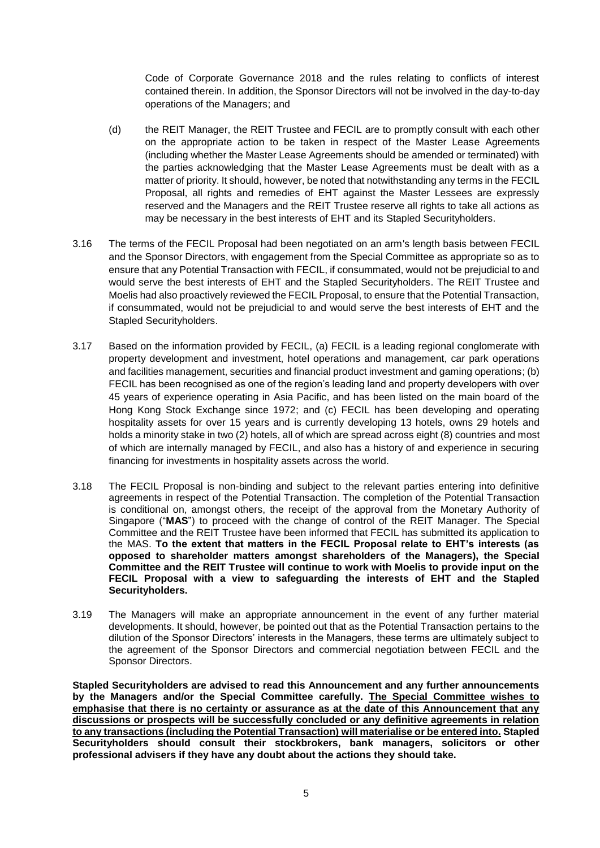Code of Corporate Governance 2018 and the rules relating to conflicts of interest contained therein. In addition, the Sponsor Directors will not be involved in the day-to-day operations of the Managers; and

- (d) the REIT Manager, the REIT Trustee and FECIL are to promptly consult with each other on the appropriate action to be taken in respect of the Master Lease Agreements (including whether the Master Lease Agreements should be amended or terminated) with the parties acknowledging that the Master Lease Agreements must be dealt with as a matter of priority. It should, however, be noted that notwithstanding any terms in the FECIL Proposal, all rights and remedies of EHT against the Master Lessees are expressly reserved and the Managers and the REIT Trustee reserve all rights to take all actions as may be necessary in the best interests of EHT and its Stapled Securityholders.
- 3.16 The terms of the FECIL Proposal had been negotiated on an arm's length basis between FECIL and the Sponsor Directors, with engagement from the Special Committee as appropriate so as to ensure that any Potential Transaction with FECIL, if consummated, would not be prejudicial to and would serve the best interests of EHT and the Stapled Securityholders. The REIT Trustee and Moelis had also proactively reviewed the FECIL Proposal, to ensure that the Potential Transaction, if consummated, would not be prejudicial to and would serve the best interests of EHT and the Stapled Securityholders.
- 3.17 Based on the information provided by FECIL, (a) FECIL is a leading regional conglomerate with property development and investment, hotel operations and management, car park operations and facilities management, securities and financial product investment and gaming operations; (b) FECIL has been recognised as one of the region's leading land and property developers with over 45 years of experience operating in Asia Pacific, and has been listed on the main board of the Hong Kong Stock Exchange since 1972; and (c) FECIL has been developing and operating hospitality assets for over 15 years and is currently developing 13 hotels, owns 29 hotels and holds a minority stake in two (2) hotels, all of which are spread across eight (8) countries and most of which are internally managed by FECIL, and also has a history of and experience in securing financing for investments in hospitality assets across the world.
- 3.18 The FECIL Proposal is non-binding and subject to the relevant parties entering into definitive agreements in respect of the Potential Transaction. The completion of the Potential Transaction is conditional on, amongst others, the receipt of the approval from the Monetary Authority of Singapore ("**MAS**") to proceed with the change of control of the REIT Manager. The Special Committee and the REIT Trustee have been informed that FECIL has submitted its application to the MAS. **To the extent that matters in the FECIL Proposal relate to EHT's interests (as opposed to shareholder matters amongst shareholders of the Managers), the Special Committee and the REIT Trustee will continue to work with Moelis to provide input on the FECIL Proposal with a view to safeguarding the interests of EHT and the Stapled Securityholders.**
- 3.19 The Managers will make an appropriate announcement in the event of any further material developments. It should, however, be pointed out that as the Potential Transaction pertains to the dilution of the Sponsor Directors' interests in the Managers, these terms are ultimately subject to the agreement of the Sponsor Directors and commercial negotiation between FECIL and the Sponsor Directors.

**Stapled Securityholders are advised to read this Announcement and any further announcements by the Managers and/or the Special Committee carefully. The Special Committee wishes to emphasise that there is no certainty or assurance as at the date of this Announcement that any discussions or prospects will be successfully concluded or any definitive agreements in relation to any transactions (including the Potential Transaction) will materialise or be entered into. Stapled Securityholders should consult their stockbrokers, bank managers, solicitors or other professional advisers if they have any doubt about the actions they should take.**